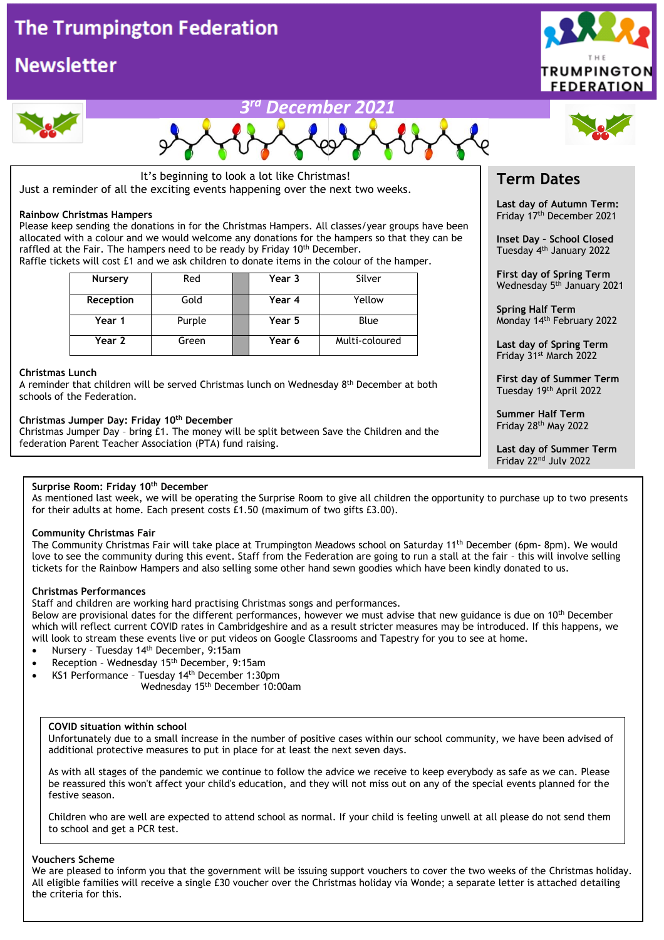

It's beginning to look a lot like Christmas! Just a reminder of all the exciting events happening over the next two weeks.

#### **Rainbow Christmas Hampers**

Please keep sending the donations in for the Christmas Hampers. All classes/year groups have been allocated with a colour and we would welcome any donations for the hampers so that they can be raffled at the Fair. The hampers need to be ready by Friday 10<sup>th</sup> December. Raffle tickets will cost £1 and we ask children to donate items in the colour of the hamper.

| Nursery   | Red    | Year 3 | Silver         |
|-----------|--------|--------|----------------|
| Reception | Gold   | Year 4 | Yellow         |
| Year 1    | Purple | Year 5 | Blue           |
| Year 2    | Green  | Year 6 | Multi-coloured |

#### **Christmas Lunch**

A reminder that children will be served Christmas lunch on Wednesday 8th December at both schools of the Federation.

#### **Christmas Jumper Day: Friday 10th December**

Christmas Jumper Day – bring £1. The money will be split between Save the Children and the federation Parent Teacher Association (PTA) fund raising.

#### **Surprise Room: Friday 10th December**

As mentioned last week, we will be operating the Surprise Room to give all children the opportunity to purchase up to two presents for their adults at home. Each present costs £1.50 (maximum of two gifts £3.00).

#### **Community Christmas Fair**

The Community Christmas Fair will take place at Trumpington Meadows school on Saturday 11th December (6pm- 8pm). We would love to see the community during this event. Staff from the Federation are going to run a stall at the fair – this will involve selling tickets for the Rainbow Hampers and also selling some other hand sewn goodies which have been kindly donated to us.

#### **Christmas Performances**

Staff and children are working hard practising Christmas songs and performances.

Below are provisional dates for the different performances, however we must advise that new guidance is due on 10<sup>th</sup> December which will reflect current COVID rates in Cambridgeshire and as a result stricter measures may be introduced. If this happens, we will look to stream these events live or put videos on Google Classrooms and Tapestry for you to see at home.

- Nursery Tuesday 14th December, 9:15am
- Reception Wednesday 15th December, 9:15am
- KS1 Performance Tuesday 14th December 1:30pm
	- Wednesday 15th December 10:00am

#### **COVID situation within school**

Unfortunately due to a small increase in the number of positive cases within our school community, we have been advised of additional protective measures to put in place for at least the next seven days.

As with all stages of the pandemic we continue to follow the advice we receive to keep everybody as safe as we can. Please be reassured this won't affect your child's education, and they will not miss out on any of the special events planned for the festive season.

Children who are well are expected to attend school as normal. If your child is feeling unwell at all please do not send them to school and get a PCR test.

#### **Vouchers Scheme**

We are pleased to inform you that the government will be issuing support vouchers to cover the two weeks of the Christmas holiday. All eligible families will receive a single £30 voucher over the Christmas holiday via Wonde; a separate letter is attached detailing the criteria for this.

## **Term Dates**

**Last day of Autumn Term:** Friday 17th December 2021

**Inset Day – School Closed** Tuesday 4th January 2022

**First day of Spring Term** Wednesday 5<sup>th</sup> January 2021

**Spring Half Term** Monday 14<sup>th</sup> February 2022

**Last day of Spring Term** Friday 31st March 2022

**First day of Summer Term** Tuesday 19th April 2022

**Summer Half Term** Friday 28th May 2022

**Last day of Summer Term** Friday 22nd July 2022